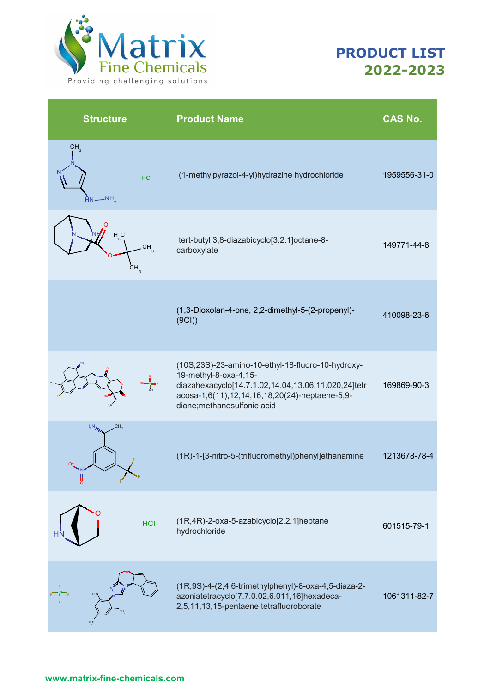

| <b>Structure</b>                                           | <b>Product Name</b>                                                                                                                                                                                               | <b>CAS No.</b> |
|------------------------------------------------------------|-------------------------------------------------------------------------------------------------------------------------------------------------------------------------------------------------------------------|----------------|
| CH <sub>3</sub><br><b>HCI</b><br>$-NH$                     | (1-methylpyrazol-4-yl)hydrazine hydrochloride                                                                                                                                                                     | 1959556-31-0   |
| H <sub>3</sub> C<br>CH <sub>3</sub><br>$CH_{\overline{3}}$ | tert-butyl 3,8-diazabicyclo[3.2.1]octane-8-<br>carboxylate                                                                                                                                                        | 149771-44-8    |
|                                                            | (1,3-Dioxolan-4-one, 2,2-dimethyl-5-(2-propenyl)-<br>(9CI)                                                                                                                                                        | 410098-23-6    |
|                                                            | (10S,23S)-23-amino-10-ethyl-18-fluoro-10-hydroxy-<br>19-methyl-8-oxa-4,15-<br>diazahexacyclo[14.7.1.02,14.04,13.06,11.020,24]tetr<br>acosa-1,6(11),12,14,16,18,20(24)-heptaene-5,9-<br>dione;methanesulfonic acid | 169869-90-3    |
| $H_2N_{\ell\ell}$<br>CH <sub>3</sub><br>$\frac{1}{2}$      | (1R)-1-[3-nitro-5-(trifluoromethyl)phenyl]ethanamine                                                                                                                                                              | 1213678-78-4   |
| <b>HCI</b>                                                 | (1R,4R)-2-oxa-5-azabicyclo[2.2.1]heptane<br>hydrochloride                                                                                                                                                         | 601515-79-1    |
| H <sub>C</sub>                                             | (1R,9S)-4-(2,4,6-trimethylphenyl)-8-oxa-4,5-diaza-2-<br>azoniatetracyclo[7.7.0.02,6.011,16]hexadeca-<br>2,5,11,13,15-pentaene tetrafluoroborate                                                                   | 1061311-82-7   |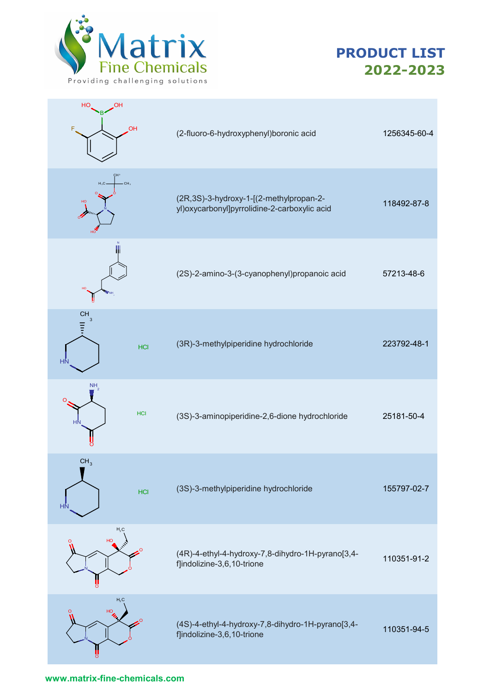



| HO<br>OН<br><b>OH</b>                              | (2-fluoro-6-hydroxyphenyl)boronic acid                                                    | 1256345-60-4 |
|----------------------------------------------------|-------------------------------------------------------------------------------------------|--------------|
| CH <sup>3</sup><br>$H_3C$<br>$-CH3$<br>HO          | (2R,3S)-3-hydroxy-1-[(2-methylpropan-2-<br>yl) oxycarbonyl] pyrrolidine-2-carboxylic acid | 118492-87-8  |
| HO <sub>1</sub><br>$V$ NH                          | (2S)-2-amino-3-(3-cyanophenyl)propanoic acid                                              | 57213-48-6   |
| CH<br>$\mathbf{3}$<br>Ξ<br><b>HCI</b><br><b>HN</b> | (3R)-3-methylpiperidine hydrochloride                                                     | 223792-48-1  |
| <b>NH</b><br><b>HCI</b><br>HN                      | (3S)-3-aminopiperidine-2,6-dione hydrochloride                                            | 25181-50-4   |
| CH <sub>3</sub><br><b>HCI</b><br>HŃ                | (3S)-3-methylpiperidine hydrochloride                                                     | 155797-02-7  |
| H <sub>3</sub> C<br>HO<br>$\Omega$                 | (4R)-4-ethyl-4-hydroxy-7,8-dihydro-1H-pyrano[3,4-<br>f]indolizine-3,6,10-trione           | 110351-91-2  |
| H <sub>3</sub> C<br>HO                             | (4S)-4-ethyl-4-hydroxy-7,8-dihydro-1H-pyrano[3,4-<br>f]indolizine-3,6,10-trione           | 110351-94-5  |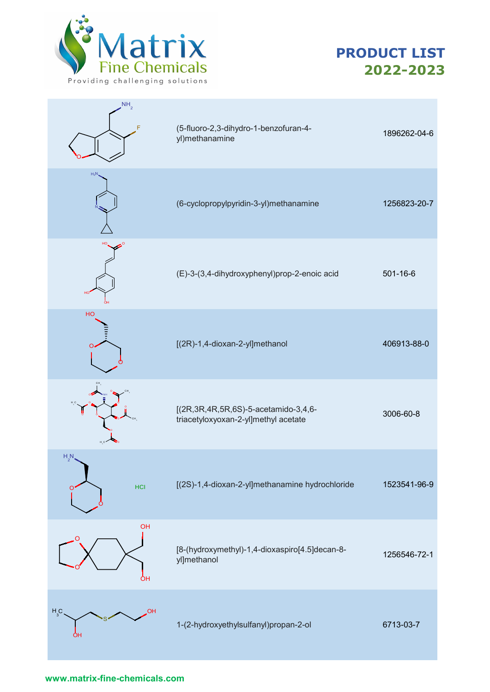



| $\mathsf{NH}_{2}$  | (5-fluoro-2,3-dihydro-1-benzofuran-4-<br>yl)methanamine                                | 1896262-04-6   |
|--------------------|----------------------------------------------------------------------------------------|----------------|
| $H_2N$             | (6-cyclopropylpyridin-3-yl)methanamine                                                 | 1256823-20-7   |
|                    | (E)-3-(3,4-dihydroxyphenyl)prop-2-enoic acid                                           | $501 - 16 - 6$ |
| HO                 | [(2R)-1,4-dioxan-2-yl]methanol                                                         | 406913-88-0    |
|                    | [(2R, 3R, 4R, 5R, 6S) - 5-acetamido - 3, 4, 6-<br>triacetyloxyoxan-2-yl]methyl acetate | 3006-60-8      |
| $H_{2}N$<br>HCI    | [(2S)-1,4-dioxan-2-yl]methanamine hydrochloride                                        | 1523541-96-9   |
| OH<br>ÒН           | [8-(hydroxymethyl)-1,4-dioxaspiro[4.5]decan-8-<br>yl]methanol                          | 1256546-72-1   |
| $H_3C$<br>ОН<br>OH | 1-(2-hydroxyethylsulfanyl)propan-2-ol                                                  | 6713-03-7      |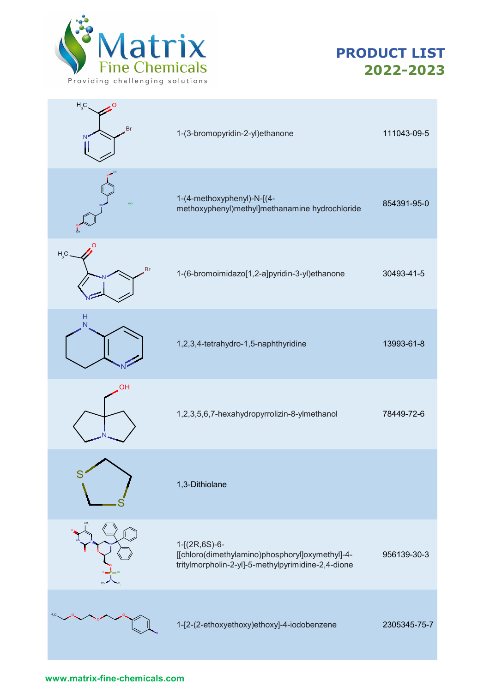

| H <sub>3</sub> C<br>Br | 1-(3-bromopyridin-2-yl)ethanone                                                                                        | 111043-09-5  |
|------------------------|------------------------------------------------------------------------------------------------------------------------|--------------|
| HCI                    | 1-(4-methoxyphenyl)-N-[(4-<br>methoxyphenyl)methyl]methanamine hydrochloride                                           | 854391-95-0  |
| $H_3C$ .<br>Br         | 1-(6-bromoimidazo[1,2-a]pyridin-3-yl)ethanone                                                                          | 30493-41-5   |
| $\frac{H}{N}$          | 1,2,3,4-tetrahydro-1,5-naphthyridine                                                                                   | 13993-61-8   |
| OH                     | 1,2,3,5,6,7-hexahydropyrrolizin-8-ylmethanol                                                                           | 78449-72-6   |
| S                      | 1,3-Dithiolane                                                                                                         |              |
|                        | 1-[(2R,6S)-6-<br>[[chloro(dimethylamino)phosphoryl]oxymethyl]-4-<br>tritylmorpholin-2-yl]-5-methylpyrimidine-2,4-dione | 956139-30-3  |
|                        | 1-[2-(2-ethoxyethoxy)ethoxy]-4-iodobenzene                                                                             | 2305345-75-7 |
|                        |                                                                                                                        |              |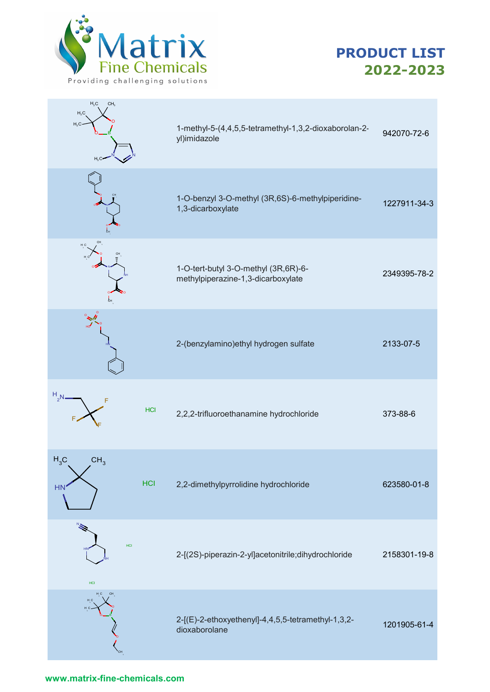

| H <sub>3</sub> C<br>CH <sub>3</sub><br>$H_3C$<br>H <sub>3</sub> C<br>$H_3C$ | 1-methyl-5-(4,4,5,5-tetramethyl-1,3,2-dioxaborolan-2-<br>yl)imidazole      | 942070-72-6  |
|-----------------------------------------------------------------------------|----------------------------------------------------------------------------|--------------|
|                                                                             | 1-O-benzyl 3-O-methyl (3R,6S)-6-methylpiperidine-<br>1,3-dicarboxylate     | 1227911-34-3 |
| H C<br>$\zeta_{H}$                                                          | 1-O-tert-butyl 3-O-methyl (3R,6R)-6-<br>methylpiperazine-1,3-dicarboxylate | 2349395-78-2 |
|                                                                             | 2-(benzylamino) ethyl hydrogen sulfate                                     | 2133-07-5    |
| $H_{2}N$<br>F<br>HCI                                                        | 2,2,2-trifluoroethanamine hydrochloride                                    | 373-88-6     |
| $H_3C$<br>CH <sub>3</sub><br><b>HCI</b><br><b>HN</b>                        | 2,2-dimethylpyrrolidine hydrochloride                                      | 623580-01-8  |
| HCI<br>HCI                                                                  | 2-[(2S)-piperazin-2-yl]acetonitrile;dihydrochloride                        | 2158301-19-8 |
|                                                                             | 2-[(E)-2-ethoxyethenyl]-4,4,5,5-tetramethyl-1,3,2-<br>dioxaborolane        | 1201905-61-4 |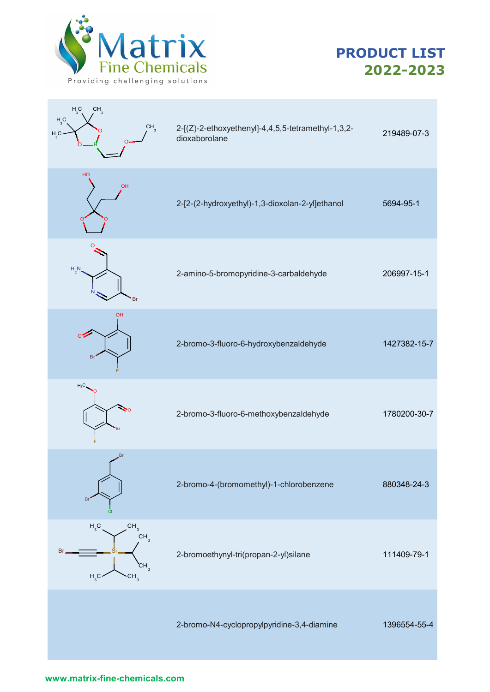

| $H_3C$<br>CH <sub>3</sub><br>$H_3C$<br>CH <sub>3</sub><br>$H_{3}C$                                             | 2-[(Z)-2-ethoxyethenyl]-4,4,5,5-tetramethyl-1,3,2-<br>dioxaborolane | 219489-07-3  |
|----------------------------------------------------------------------------------------------------------------|---------------------------------------------------------------------|--------------|
| HO<br>OH                                                                                                       | 2-[2-(2-hydroxyethyl)-1,3-dioxolan-2-yl]ethanol                     | 5694-95-1    |
| $H_2N$<br>Br                                                                                                   | 2-amino-5-bromopyridine-3-carbaldehyde                              | 206997-15-1  |
| <b>OH</b><br>οź<br>Bı                                                                                          | 2-bromo-3-fluoro-6-hydroxybenzaldehyde                              | 1427382-15-7 |
| $H_3C$<br>Br                                                                                                   | 2-bromo-3-fluoro-6-methoxybenzaldehyde                              | 1780200-30-7 |
| Br<br>B                                                                                                        | 2-bromo-4-(bromomethyl)-1-chlorobenzene                             | 880348-24-3  |
| CH <sub>3</sub><br>$H_{3}C$<br>CH <sub>3</sub><br>Br<br>CH <sub>3</sub><br>H <sub>3</sub> C<br>CH <sub>3</sub> | 2-bromoethynyl-tri(propan-2-yl)silane                               | 111409-79-1  |
|                                                                                                                | 2-bromo-N4-cyclopropylpyridine-3,4-diamine                          | 1396554-55-4 |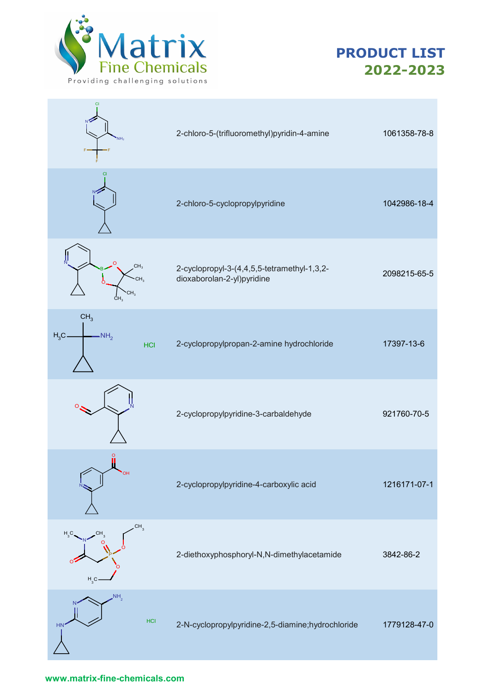



| NH <sub>2</sub>                                            | 2-chloro-5-(trifluoromethyl)pyridin-4-amine                               | 1061358-78-8 |
|------------------------------------------------------------|---------------------------------------------------------------------------|--------------|
| CI                                                         | 2-chloro-5-cyclopropylpyridine                                            | 1042986-18-4 |
| O<br>CH <sub>3</sub><br>CH <sub>3</sub><br>CH <sub>3</sub> | 2-cyclopropyl-3-(4,4,5,5-tetramethyl-1,3,2-<br>dioxaborolan-2-yl)pyridine | 2098215-65-5 |
| CH <sub>3</sub><br>$H_3C$<br>NH <sub>2</sub><br><b>HCI</b> | 2-cyclopropylpropan-2-amine hydrochloride                                 | 17397-13-6   |
|                                                            | 2-cyclopropylpyridine-3-carbaldehyde                                      | 921760-70-5  |
| OH.                                                        | 2-cyclopropylpyridine-4-carboxylic acid                                   | 1216171-07-1 |
| CH <sub>3</sub><br>H <sub>3</sub> C<br>H, C                | 2-diethoxyphosphoryl-N,N-dimethylacetamide                                | 3842-86-2    |
| NH <sub>2</sub><br><b>HCI</b><br><b>HN</b>                 | 2-N-cyclopropylpyridine-2,5-diamine;hydrochloride                         | 1779128-47-0 |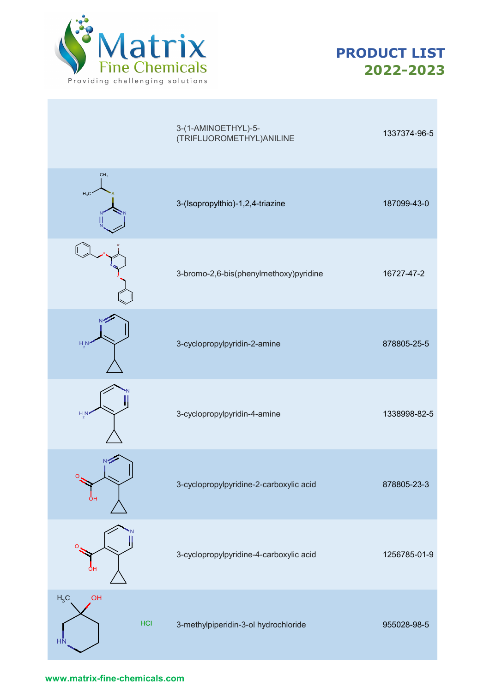



|                                         | 3-(1-AMINOETHYL)-5-<br>(TRIFLUOROMETHYL) ANILINE | 1337374-96-5 |
|-----------------------------------------|--------------------------------------------------|--------------|
| CH <sub>3</sub><br>$H_3C$               | 3-(Isopropylthio)-1,2,4-triazine                 | 187099-43-0  |
|                                         | 3-bromo-2,6-bis(phenylmethoxy)pyridine           | 16727-47-2   |
| $H_{\text{2}}N$                         | 3-cyclopropylpyridin-2-amine                     | 878805-25-5  |
| $H_5N$                                  | 3-cyclopropylpyridin-4-amine                     | 1338998-82-5 |
| O<br>OН                                 | 3-cyclopropylpyridine-2-carboxylic acid          | 878805-23-3  |
| O<br>ОН                                 | 3-cyclopropylpyridine-4-carboxylic acid          | 1256785-01-9 |
| $H_3C$<br>OH<br><b>HCI</b><br><b>HN</b> | 3-methylpiperidin-3-ol hydrochloride             | 955028-98-5  |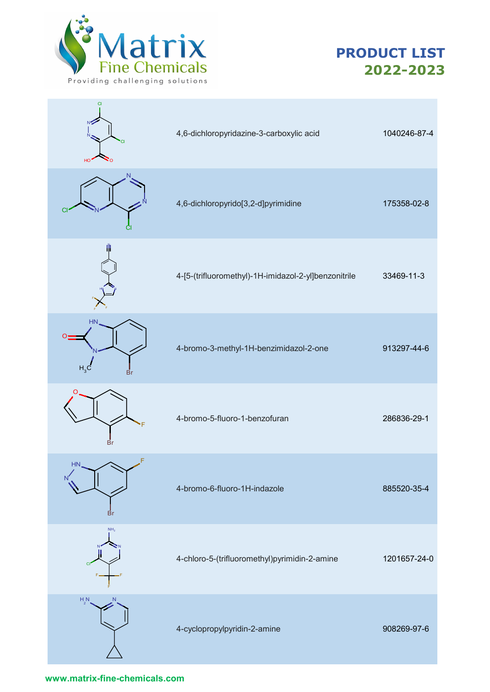



| N<br>HO                             | 4,6-dichloropyridazine-3-carboxylic acid             | 1040246-87-4 |
|-------------------------------------|------------------------------------------------------|--------------|
| N<br>СI                             | 4,6-dichloropyrido[3,2-d]pyrimidine                  | 175358-02-8  |
|                                     | 4-[5-(trifluoromethyl)-1H-imidazol-2-yl]benzonitrile | 33469-11-3   |
| <b>HN</b><br>H <sub>3</sub> C<br>Br | 4-bromo-3-methyl-1H-benzimidazol-2-one               | 913297-44-6  |
| O<br>Br                             | 4-bromo-5-fluoro-1-benzofuran                        | 286836-29-1  |
| F<br><b>HN</b><br><b>Br</b>         | 4-bromo-6-fluoro-1H-indazole                         | 885520-35-4  |
| NH <sub>2</sub><br><b>CI</b>        | 4-chloro-5-(trifluoromethyl)pyrimidin-2-amine        | 1201657-24-0 |
| $H_{2}N$<br>N                       | 4-cyclopropylpyridin-2-amine                         | 908269-97-6  |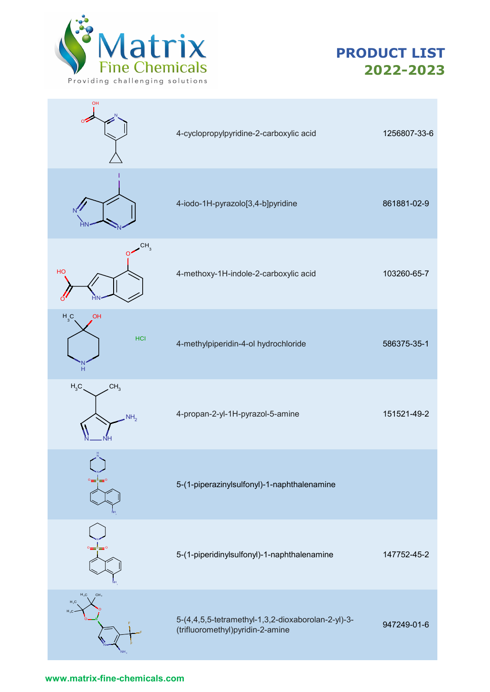

OH



| UH<br>O.                                      | 4-cyclopropylpyridine-2-carboxylic acid                                                | 1256807-33-6 |
|-----------------------------------------------|----------------------------------------------------------------------------------------|--------------|
|                                               | 4-iodo-1H-pyrazolo[3,4-b]pyridine                                                      | 861881-02-9  |
| CH <sub>3</sub><br>HO                         | 4-methoxy-1H-indole-2-carboxylic acid                                                  | 103260-65-7  |
| $H_3C$<br>OH<br><b>HCI</b><br>H               | 4-methylpiperidin-4-ol hydrochloride                                                   | 586375-35-1  |
| $H_3C$<br>CH <sub>3</sub><br>NH <sub>2</sub>  | 4-propan-2-yl-1H-pyrazol-5-amine                                                       | 151521-49-2  |
| o±\$=                                         | 5-(1-piperazinylsulfonyl)-1-naphthalenamine                                            |              |
|                                               | 5-(1-piperidinylsulfonyl)-1-naphthalenamine                                            | 147752-45-2  |
| $H_3C$<br>CH <sub>3</sub><br>$H_3C$<br>$H_3C$ | 5-(4,4,5,5-tetramethyl-1,3,2-dioxaborolan-2-yl)-3-<br>(trifluoromethyl)pyridin-2-amine | 947249-01-6  |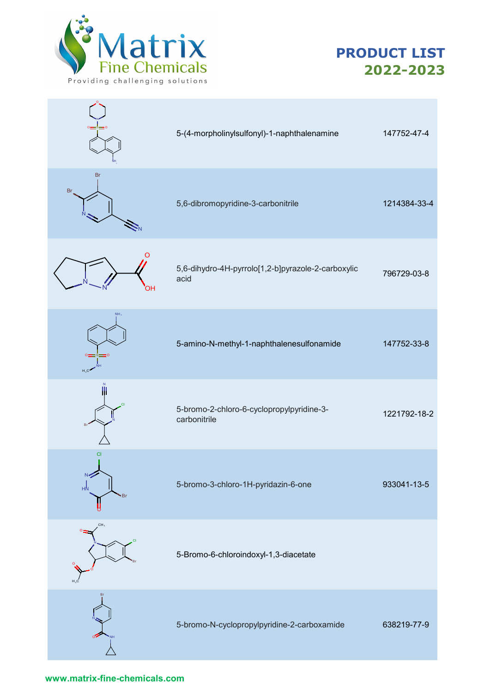



|                             | 5-(4-morpholinylsulfonyl)-1-naphthalenamine                | 147752-47-4  |
|-----------------------------|------------------------------------------------------------|--------------|
| Br<br>Br                    | 5,6-dibromopyridine-3-carbonitrile                         | 1214384-33-4 |
| O<br>OН                     | 5,6-dihydro-4H-pyrrolo[1,2-b]pyrazole-2-carboxylic<br>acid | 796729-03-8  |
| NH <sub>2</sub><br>$H_3C$   | 5-amino-N-methyl-1-naphthalenesulfonamide                  | 147752-33-8  |
|                             | 5-bromo-2-chloro-6-cyclopropylpyridine-3-<br>carbonitrile  | 1221792-18-2 |
| <b>CI</b><br>N<br>HN<br>`Br | 5-bromo-3-chloro-1H-pyridazin-6-one                        | 933041-13-5  |
| CH <sub>3</sub>             | 5-Bromo-6-chloroindoxyl-1,3-diacetate                      |              |
|                             | 5-bromo-N-cyclopropylpyridine-2-carboxamide                | 638219-77-9  |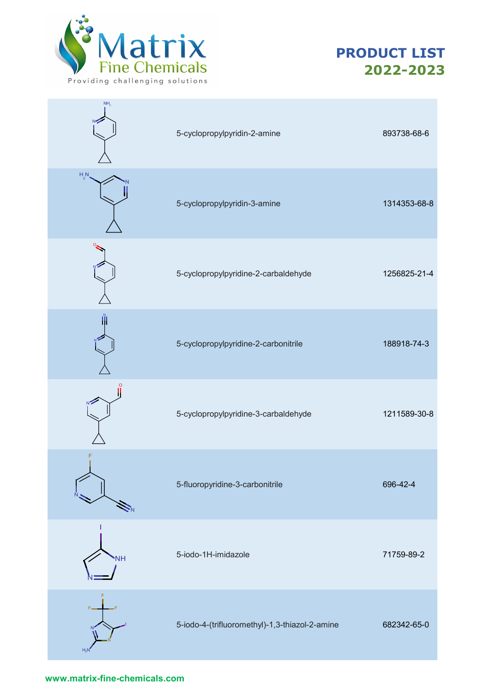



| NH <sub>2</sub> | 5-cyclopropylpyridin-2-amine                   | 893738-68-6  |
|-----------------|------------------------------------------------|--------------|
| $H_{2}N$        | 5-cyclopropylpyridin-3-amine                   | 1314353-68-8 |
|                 | 5-cyclopropylpyridine-2-carbaldehyde           | 1256825-21-4 |
|                 | 5-cyclopropylpyridine-2-carbonitrile           | 188918-74-3  |
|                 | 5-cyclopropylpyridine-3-carbaldehyde           | 1211589-30-8 |
| F<br>۲Ñ.        | 5-fluoropyridine-3-carbonitrile                | 696-42-4     |
| <b>NH</b>       | 5-iodo-1H-imidazole                            | 71759-89-2   |
| F.<br>$H_2N$    | 5-iodo-4-(trifluoromethyl)-1,3-thiazol-2-amine | 682342-65-0  |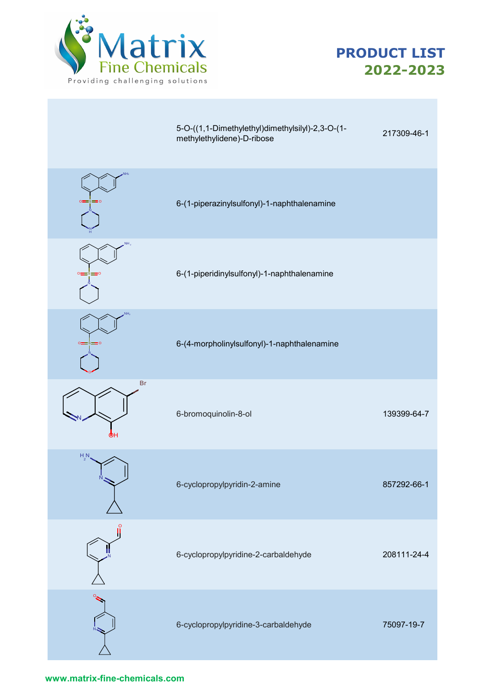



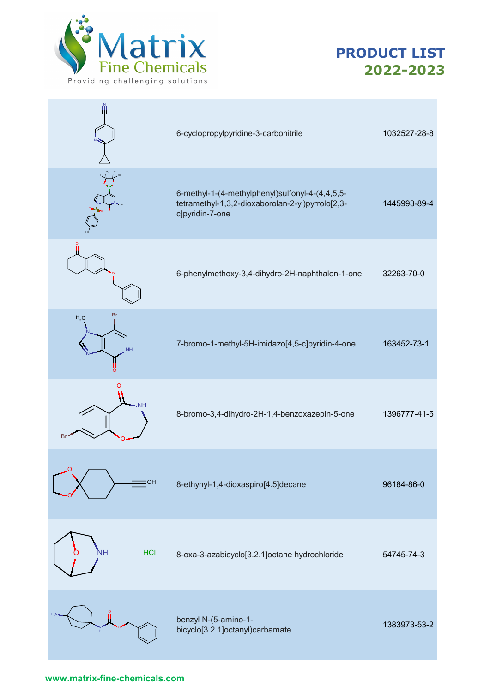



|                                                            | 6-cyclopropylpyridine-3-carbonitrile                                                                                   | 1032527-28-8 |
|------------------------------------------------------------|------------------------------------------------------------------------------------------------------------------------|--------------|
|                                                            | 6-methyl-1-(4-methylphenyl)sulfonyl-4-(4,4,5,5-<br>tetramethyl-1,3,2-dioxaborolan-2-yl)pyrrolo[2,3-<br>c]pyridin-7-one | 1445993-89-4 |
|                                                            | 6-phenylmethoxy-3,4-dihydro-2H-naphthalen-1-one                                                                        | 32263-70-0   |
| Br<br>$\mathsf{H}_{\scriptscriptstyle{3}}\mathsf{C}$<br>NН | 7-bromo-1-methyl-5H-imidazo[4,5-c]pyridin-4-one                                                                        | 163452-73-1  |
| O<br>VН<br>Br                                              | 8-bromo-3,4-dihydro-2H-1,4-benzoxazepin-5-one                                                                          | 1396777-41-5 |
| $\circ$<br>:CH                                             | 8-ethynyl-1,4-dioxaspiro[4.5]decane                                                                                    | 96184-86-0   |
| Nн<br><b>HCI</b>                                           | 8-oxa-3-azabicyclo[3.2.1]octane hydrochloride                                                                          | 54745-74-3   |
|                                                            | benzyl N-(5-amino-1-<br>bicyclo[3.2.1]octanyl)carbamate                                                                | 1383973-53-2 |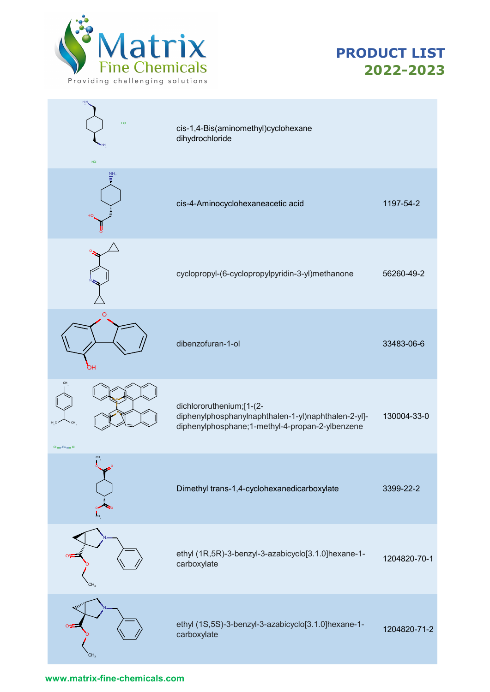



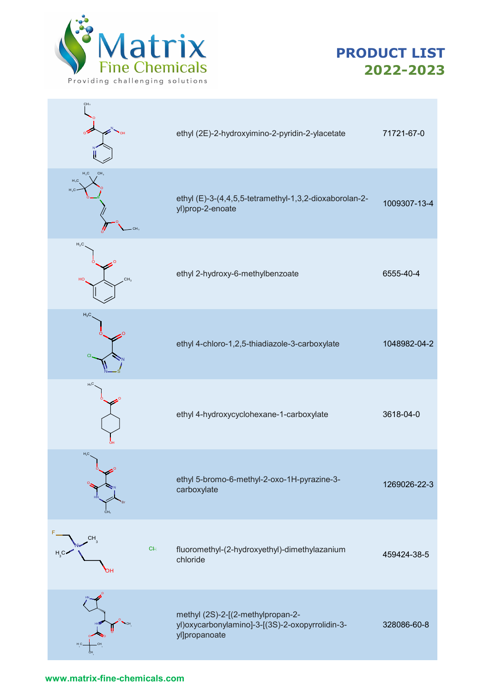



| CH <sub>3</sub><br>٥ź                                |    | ethyl (2E)-2-hydroxyimino-2-pyridin-2-ylacetate                                                       | 71721-67-0   |
|------------------------------------------------------|----|-------------------------------------------------------------------------------------------------------|--------------|
| CH <sub>3</sub><br>$H_3C$<br>$H_3C$<br>$H_3C$<br>CH, |    | ethyl (E)-3-(4,4,5,5-tetramethyl-1,3,2-dioxaborolan-2-<br>yl)prop-2-enoate                            | 1009307-13-4 |
| $H_3C$<br>CH <sub>3</sub><br>HO                      |    | ethyl 2-hydroxy-6-methylbenzoate                                                                      | 6555-40-4    |
| $H_3C$<br>$\Omega$                                   |    | ethyl 4-chloro-1,2,5-thiadiazole-3-carboxylate                                                        | 1048982-04-2 |
| $H_3C$                                               |    | ethyl 4-hydroxycyclohexane-1-carboxylate                                                              | 3618-04-0    |
| $H_3C$<br>o<br>CH <sub>3</sub>                       |    | ethyl 5-bromo-6-methyl-2-oxo-1H-pyrazine-3-<br>carboxylate                                            | 1269026-22-3 |
| $CH^3$<br>H C<br>ЭH                                  | CE | fluoromethyl-(2-hydroxyethyl)-dimethylazanium<br>chloride                                             | 459424-38-5  |
| H <sub>C</sub> .                                     |    | methyl (2S)-2-[(2-methylpropan-2-<br>yl)oxycarbonylamino]-3-[(3S)-2-oxopyrrolidin-3-<br>yl]propanoate | 328086-60-8  |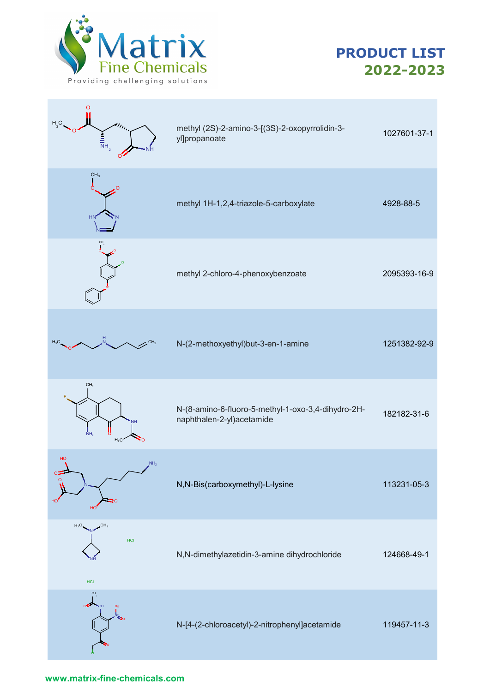

| $H_{\circ}$ C<br>$\eta_{l_{l_l}}$<br>$\frac{1}{\overline{N}}$ H <sub>2</sub><br>Ő | methyl (2S)-2-amino-3-[(3S)-2-oxopyrrolidin-3-<br>yl]propanoate                 | 1027601-37-1 |
|-----------------------------------------------------------------------------------|---------------------------------------------------------------------------------|--------------|
| CH <sub>3</sub><br>ò<br>HN                                                        | methyl 1H-1,2,4-triazole-5-carboxylate                                          | 4928-88-5    |
|                                                                                   | methyl 2-chloro-4-phenoxybenzoate                                               | 2095393-16-9 |
| $H_3C$                                                                            | N-(2-methoxyethyl)but-3-en-1-amine                                              | 1251382-92-9 |
| CH <sub>3</sub><br>NH <sub>2</sub><br>C<br>$H_2C$                                 | N-(8-amino-6-fluoro-5-methyl-1-oxo-3,4-dihydro-2H-<br>naphthalen-2-yl)acetamide | 182182-31-6  |
| HO<br>NH <sub>2</sub><br>οz<br>O<br>HO<br>HO                                      | N,N-Bis(carboxymethyl)-L-lysine                                                 | 113231-05-3  |
| $H_3C$<br>HCI<br>HCI                                                              | N,N-dimethylazetidin-3-amine dihydrochloride                                    | 124668-49-1  |
|                                                                                   | N-[4-(2-chloroacetyl)-2-nitrophenyl]acetamide                                   | 119457-11-3  |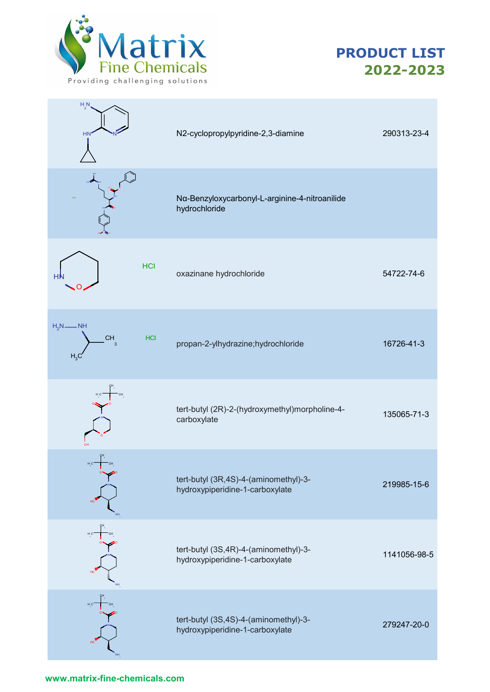



| $H_2N$<br><b>HN</b>                                                          | N2-cyclopropylpyridine-2,3-diamine                                       | 290313-23-4  |
|------------------------------------------------------------------------------|--------------------------------------------------------------------------|--------------|
|                                                                              | Nα-Benzyloxycarbonyl-L-arginine-4-nitroanilide<br>hydrochloride          |              |
| <b>HCI</b><br>н                                                              | oxazinane hydrochloride                                                  | 54722-74-6   |
| $H_2N$ — NH<br><b>CH</b><br><b>HCI</b><br>$\overline{3}$<br>H <sub>3</sub> C | propan-2-ylhydrazine;hydrochloride                                       | 16726-41-3   |
|                                                                              | tert-butyl (2R)-2-(hydroxymethyl)morpholine-4-<br>carboxylate            | 135065-71-3  |
|                                                                              | tert-butyl (3R,4S)-4-(aminomethyl)-3-<br>hydroxypiperidine-1-carboxylate | 219985-15-6  |
| H C<br>HO                                                                    | tert-butyl (3S,4R)-4-(aminomethyl)-3-<br>hydroxypiperidine-1-carboxylate | 1141056-98-5 |
| $H^{\prime}C$<br>$H_O$                                                       | tert-butyl (3S,4S)-4-(aminomethyl)-3-<br>hydroxypiperidine-1-carboxylate | 279247-20-0  |